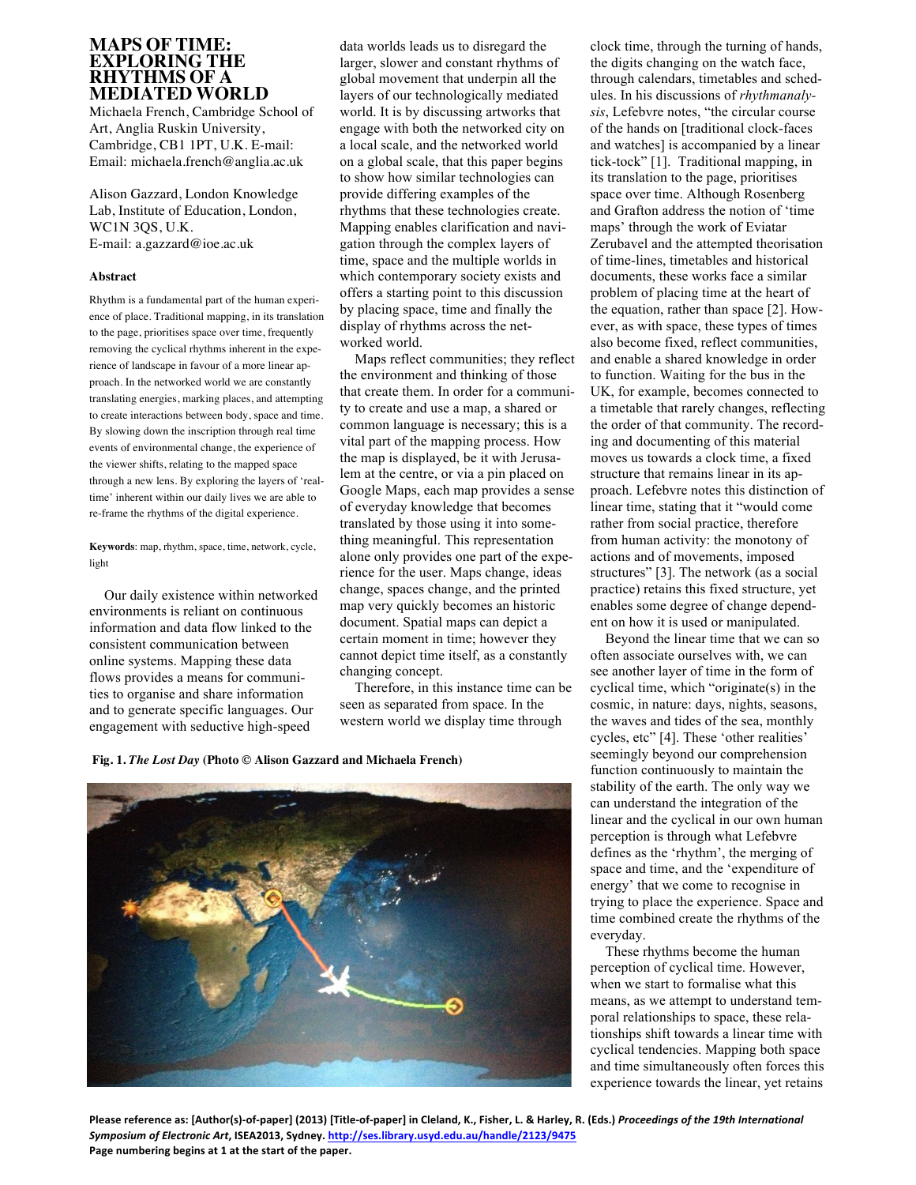## **MAPS OF TIME: EXPLORING THE RHYTHMS OF A MEDIATED WORLD**

Michaela French, Cambridge School of Art, Anglia Ruskin University, Cambridge, CB1 1PT, U.K. E-mail: Email: michaela.french@anglia.ac.uk

Alison Gazzard, London Knowledge Lab, Institute of Education, London, WC1N 3QS, U.K. E-mail: a.gazzard@ioe.ac.uk

## **Abstract**

Rhythm is a fundamental part of the human experience of place. Traditional mapping, in its translation to the page, prioritises space over time, frequently removing the cyclical rhythms inherent in the experience of landscape in favour of a more linear approach. In the networked world we are constantly translating energies, marking places, and attempting to create interactions between body, space and time. By slowing down the inscription through real time events of environmental change, the experience of the viewer shifts, relating to the mapped space through a new lens. By exploring the layers of 'realtime' inherent within our daily lives we are able to re-frame the rhythms of the digital experience.

**Keywords**: map, rhythm, space, time, network, cycle, light

Our daily existence within networked environments is reliant on continuous information and data flow linked to the consistent communication between online systems. Mapping these data flows provides a means for communities to organise and share information and to generate specific languages. Our engagement with seductive high-speed

data worlds leads us to disregard the larger, slower and constant rhythms of global movement that underpin all the layers of our technologically mediated world. It is by discussing artworks that engage with both the networked city on a local scale, and the networked world on a global scale, that this paper begins to show how similar technologies can provide differing examples of the rhythms that these technologies create. Mapping enables clarification and navigation through the complex layers of time, space and the multiple worlds in which contemporary society exists and offers a starting point to this discussion by placing space, time and finally the display of rhythms across the networked world.

Maps reflect communities; they reflect the environment and thinking of those that create them. In order for a community to create and use a map, a shared or common language is necessary; this is a vital part of the mapping process. How the map is displayed, be it with Jerusalem at the centre, or via a pin placed on Google Maps, each map provides a sense of everyday knowledge that becomes translated by those using it into something meaningful. This representation alone only provides one part of the experience for the user. Maps change, ideas change, spaces change, and the printed map very quickly becomes an historic document. Spatial maps can depict a certain moment in time; however they cannot depict time itself, as a constantly changing concept.

Therefore, in this instance time can be seen as separated from space. In the western world we display time through

**Fig. 1.** *The Lost Day* **(Photo © Alison Gazzard and Michaela French)**



clock time, through the turning of hands, the digits changing on the watch face, through calendars, timetables and schedules. In his discussions of *rhythmanalysis*, Lefebvre notes, "the circular course of the hands on [traditional clock-faces and watches] is accompanied by a linear tick-tock" [1]. Traditional mapping, in its translation to the page, prioritises space over time. Although Rosenberg and Grafton address the notion of 'time maps' through the work of Eviatar Zerubavel and the attempted theorisation of time-lines, timetables and historical documents, these works face a similar problem of placing time at the heart of the equation, rather than space [2]. However, as with space, these types of times also become fixed, reflect communities, and enable a shared knowledge in order to function. Waiting for the bus in the UK, for example, becomes connected to a timetable that rarely changes, reflecting the order of that community. The recording and documenting of this material moves us towards a clock time, a fixed structure that remains linear in its approach. Lefebvre notes this distinction of linear time, stating that it "would come rather from social practice, therefore from human activity: the monotony of actions and of movements, imposed structures" [3]. The network (as a social practice) retains this fixed structure, yet enables some degree of change dependent on how it is used or manipulated.

Beyond the linear time that we can so often associate ourselves with, we can see another layer of time in the form of cyclical time, which "originate(s) in the cosmic, in nature: days, nights, seasons, the waves and tides of the sea, monthly cycles, etc" [4]. These 'other realities' seemingly beyond our comprehension function continuously to maintain the stability of the earth. The only way we can understand the integration of the linear and the cyclical in our own human perception is through what Lefebvre defines as the 'rhythm', the merging of space and time, and the 'expenditure of energy' that we come to recognise in trying to place the experience. Space and time combined create the rhythms of the everyday.

These rhythms become the human perception of cyclical time. However, when we start to formalise what this means, as we attempt to understand temporal relationships to space, these relationships shift towards a linear time with cyclical tendencies. Mapping both space and time simultaneously often forces this experience towards the linear, yet retains

Please reference as: [Author(s)-of-paper] (2013) [Title-of-paper] in Cleland, K., Fisher, L. & Harley, R. (Eds.) Proceedings of the 19th International Symposium of Electronic Art, ISEA2013, Sydney. http://ses.library.usyd.edu.au/handle/2123/9475 Page numbering begins at 1 at the start of the paper.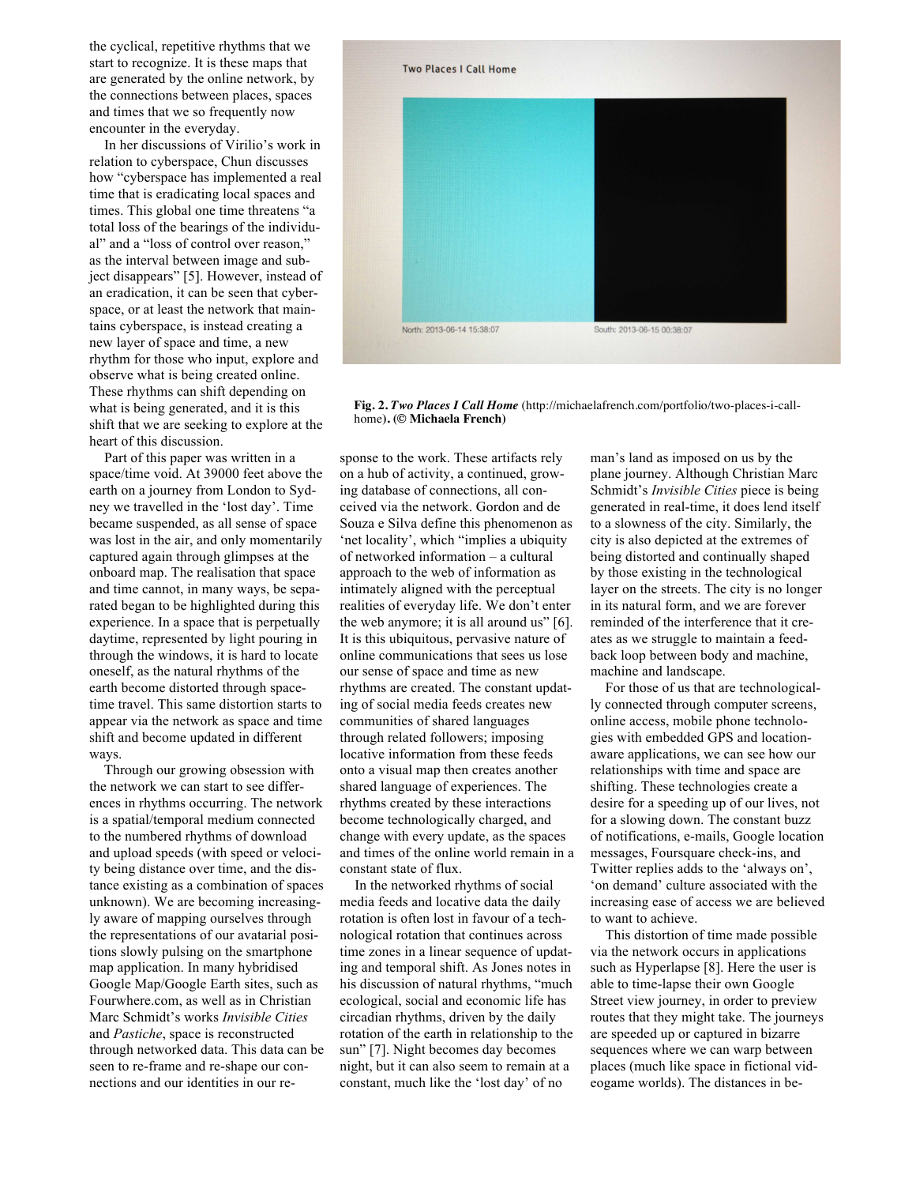the cyclical, repetitive rhythms that we start to recognize. It is these maps that are generated by the online network, by the connections between places, spaces and times that we so frequently now encounter in the everyday.

In her discussions of Virilio's work in relation to cyberspace, Chun discusses how "cyberspace has implemented a real time that is eradicating local spaces and times. This global one time threatens "a total loss of the bearings of the individual" and a "loss of control over reason," as the interval between image and subject disappears" [5]. However, instead of an eradication, it can be seen that cyberspace, or at least the network that maintains cyberspace, is instead creating a new layer of space and time, a new rhythm for those who input, explore and observe what is being created online. These rhythms can shift depending on what is being generated, and it is this shift that we are seeking to explore at the heart of this discussion.

Part of this paper was written in a space/time void. At 39000 feet above the earth on a journey from London to Sydney we travelled in the 'lost day'. Time became suspended, as all sense of space was lost in the air, and only momentarily captured again through glimpses at the onboard map. The realisation that space and time cannot, in many ways, be separated began to be highlighted during this experience. In a space that is perpetually daytime, represented by light pouring in through the windows, it is hard to locate oneself, as the natural rhythms of the earth become distorted through spacetime travel. This same distortion starts to appear via the network as space and time shift and become updated in different ways.

Through our growing obsession with the network we can start to see differences in rhythms occurring. The network is a spatial/temporal medium connected to the numbered rhythms of download and upload speeds (with speed or velocity being distance over time, and the distance existing as a combination of spaces unknown). We are becoming increasingly aware of mapping ourselves through the representations of our avatarial positions slowly pulsing on the smartphone map application. In many hybridised Google Map/Google Earth sites, such as Fourwhere.com, as well as in Christian Marc Schmidt's works *Invisible Cities* and *Pastiche*, space is reconstructed through networked data. This data can be seen to re-frame and re-shape our connections and our identities in our response to the work. These artifacts rely on a hub of activity, a continued, growing database of connections, all conceived via the network. Gordon and de Souza e Silva define this phenomenon as 'net locality', which "implies a ubiquity of networked information – a cultural approach to the web of information as intimately aligned with the perceptual realities of everyday life. We don't enter the web anymore; it is all around us" [6]. It is this ubiquitous, pervasive nature of online communications that sees us lose our sense of space and time as new rhythms are created. The constant updating of social media feeds creates new communities of shared languages through related followers; imposing locative information from these feeds onto a visual map then creates another shared language of experiences. The rhythms created by these interactions become technologically charged, and change with every update, as the spaces and times of the online world remain in a constant state of flux.

In the networked rhythms of social media feeds and locative data the daily rotation is often lost in favour of a technological rotation that continues across time zones in a linear sequence of updating and temporal shift. As Jones notes in his discussion of natural rhythms, "much ecological, social and economic life has circadian rhythms, driven by the daily rotation of the earth in relationship to the sun" [7]. Night becomes day becomes night, but it can also seem to remain at a constant, much like the 'lost day' of no

man's land as imposed on us by the plane journey. Although Christian Marc Schmidt's *Invisible Cities* piece is being generated in real-time, it does lend itself to a slowness of the city. Similarly, the city is also depicted at the extremes of being distorted and continually shaped by those existing in the technological layer on the streets. The city is no longer in its natural form, and we are forever reminded of the interference that it creates as we struggle to maintain a feedback loop between body and machine, machine and landscape.

For those of us that are technologically connected through computer screens, online access, mobile phone technologies with embedded GPS and locationaware applications, we can see how our relationships with time and space are shifting. These technologies create a desire for a speeding up of our lives, not for a slowing down. The constant buzz of notifications, e-mails, Google location messages, Foursquare check-ins, and Twitter replies adds to the 'always on', 'on demand' culture associated with the increasing ease of access we are believed to want to achieve.

This distortion of time made possible via the network occurs in applications such as Hyperlapse [8]. Here the user is able to time-lapse their own Google Street view journey, in order to preview routes that they might take. The journeys are speeded up or captured in bizarre sequences where we can warp between places (much like space in fictional videogame worlds). The distances in be-



**Fig. 2.** *Two Places I Call Home* (http://michaelafrench.com/portfolio/two-places-i-callhome**). (© Michaela French)**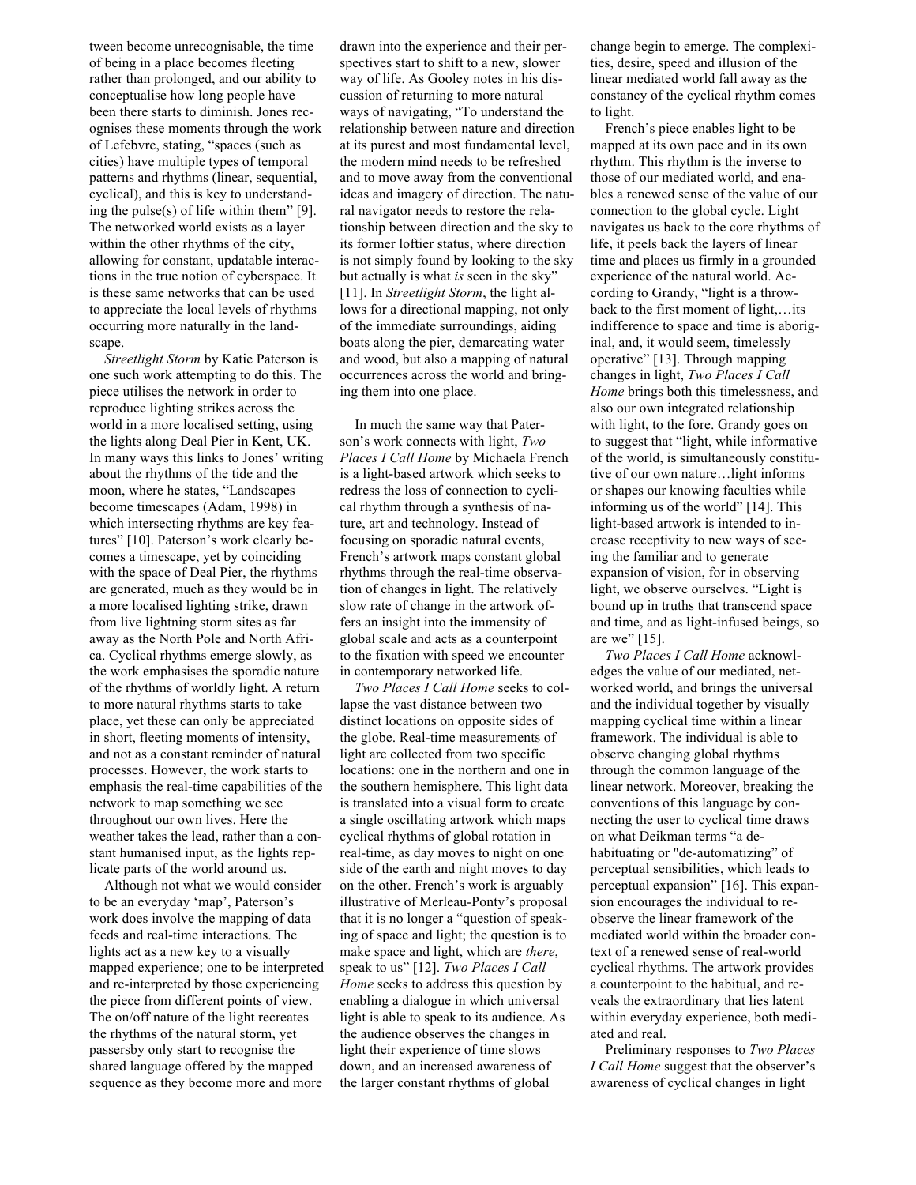tween become unrecognisable, the time of being in a place becomes fleeting rather than prolonged, and our ability to conceptualise how long people have been there starts to diminish. Jones recognises these moments through the work of Lefebvre, stating, "spaces (such as cities) have multiple types of temporal patterns and rhythms (linear, sequential, cyclical), and this is key to understanding the pulse(s) of life within them" [9]. The networked world exists as a layer within the other rhythms of the city, allowing for constant, updatable interactions in the true notion of cyberspace. It is these same networks that can be used to appreciate the local levels of rhythms occurring more naturally in the landscape.

*Streetlight Storm* by Katie Paterson is one such work attempting to do this. The piece utilises the network in order to reproduce lighting strikes across the world in a more localised setting, using the lights along Deal Pier in Kent, UK. In many ways this links to Jones' writing about the rhythms of the tide and the moon, where he states, "Landscapes become timescapes (Adam, 1998) in which intersecting rhythms are key features" [10]. Paterson's work clearly becomes a timescape, yet by coinciding with the space of Deal Pier, the rhythms are generated, much as they would be in a more localised lighting strike, drawn from live lightning storm sites as far away as the North Pole and North Africa. Cyclical rhythms emerge slowly, as the work emphasises the sporadic nature of the rhythms of worldly light. A return to more natural rhythms starts to take place, yet these can only be appreciated in short, fleeting moments of intensity, and not as a constant reminder of natural processes. However, the work starts to emphasis the real-time capabilities of the network to map something we see throughout our own lives. Here the weather takes the lead, rather than a constant humanised input, as the lights replicate parts of the world around us.

Although not what we would consider to be an everyday 'map', Paterson's work does involve the mapping of data feeds and real-time interactions. The lights act as a new key to a visually mapped experience; one to be interpreted and re-interpreted by those experiencing the piece from different points of view. The on/off nature of the light recreates the rhythms of the natural storm, yet passersby only start to recognise the shared language offered by the mapped sequence as they become more and more

drawn into the experience and their perspectives start to shift to a new, slower way of life. As Gooley notes in his discussion of returning to more natural ways of navigating, "To understand the relationship between nature and direction at its purest and most fundamental level, the modern mind needs to be refreshed and to move away from the conventional ideas and imagery of direction. The natural navigator needs to restore the relationship between direction and the sky to its former loftier status, where direction is not simply found by looking to the sky but actually is what *is* seen in the sky" [11]. In *Streetlight Storm*, the light allows for a directional mapping, not only of the immediate surroundings, aiding boats along the pier, demarcating water and wood, but also a mapping of natural occurrences across the world and bringing them into one place.

In much the same way that Paterson's work connects with light, *Two Places I Call Home* by Michaela French is a light-based artwork which seeks to redress the loss of connection to cyclical rhythm through a synthesis of nature, art and technology. Instead of focusing on sporadic natural events, French's artwork maps constant global rhythms through the real-time observation of changes in light. The relatively slow rate of change in the artwork offers an insight into the immensity of global scale and acts as a counterpoint to the fixation with speed we encounter in contemporary networked life.

*Two Places I Call Home* seeks to collapse the vast distance between two distinct locations on opposite sides of the globe. Real-time measurements of light are collected from two specific locations: one in the northern and one in the southern hemisphere. This light data is translated into a visual form to create a single oscillating artwork which maps cyclical rhythms of global rotation in real-time, as day moves to night on one side of the earth and night moves to day on the other. French's work is arguably illustrative of Merleau-Ponty's proposal that it is no longer a "question of speaking of space and light; the question is to make space and light, which are *there*, speak to us" [12]. *Two Places I Call Home* seeks to address this question by enabling a dialogue in which universal light is able to speak to its audience. As the audience observes the changes in light their experience of time slows down, and an increased awareness of the larger constant rhythms of global

change begin to emerge. The complexities, desire, speed and illusion of the linear mediated world fall away as the constancy of the cyclical rhythm comes to light.

French's piece enables light to be mapped at its own pace and in its own rhythm. This rhythm is the inverse to those of our mediated world, and enables a renewed sense of the value of our connection to the global cycle. Light navigates us back to the core rhythms of life, it peels back the layers of linear time and places us firmly in a grounded experience of the natural world. According to Grandy, "light is a throwback to the first moment of light,…its indifference to space and time is aboriginal, and, it would seem, timelessly operative" [13]. Through mapping changes in light, *Two Places I Call Home* brings both this timelessness, and also our own integrated relationship with light, to the fore. Grandy goes on to suggest that "light, while informative of the world, is simultaneously constitutive of our own nature…light informs or shapes our knowing faculties while informing us of the world" [14]. This light-based artwork is intended to increase receptivity to new ways of seeing the familiar and to generate expansion of vision, for in observing light, we observe ourselves. "Light is bound up in truths that transcend space and time, and as light-infused beings, so are we" [15].

*Two Places I Call Home* acknowledges the value of our mediated, networked world, and brings the universal and the individual together by visually mapping cyclical time within a linear framework. The individual is able to observe changing global rhythms through the common language of the linear network. Moreover, breaking the conventions of this language by connecting the user to cyclical time draws on what Deikman terms "a dehabituating or "de-automatizing" of perceptual sensibilities, which leads to perceptual expansion" [16]. This expansion encourages the individual to reobserve the linear framework of the mediated world within the broader context of a renewed sense of real-world cyclical rhythms. The artwork provides a counterpoint to the habitual, and reveals the extraordinary that lies latent within everyday experience, both mediated and real.

Preliminary responses to *Two Places I Call Home* suggest that the observer's awareness of cyclical changes in light